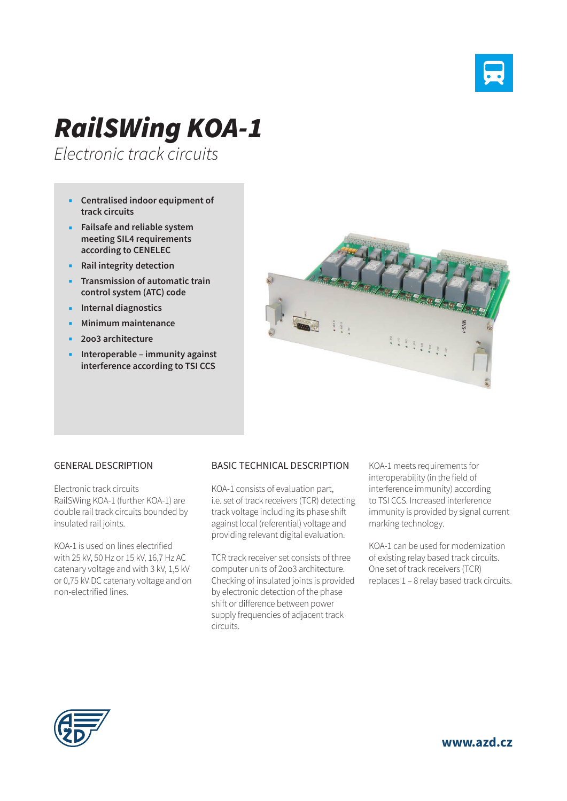

## *RailSWing KOA-1*

*Electronic track circuits*

- **Centralised indoor equipment of track circuits**
- **Failsafe and reliable system meeting SIL4 requirements according to CENELEC**
- **Rail integrity detection**
- **Transmission of automatic train control system (ATC) code**
- **Internal diagnostics**
- **Minimum maintenance**
- **2oo3 architecture**
- **Interoperable immunity against interference according to TSI CCS**



## GENERAL DESCRIPTION

Electronic track circuits RailSWing KOA-1 (further KOA-1) are double rail track circuits bounded by insulated rail joints.

KOA-1 is used on lines electrified with 25 kV, 50 Hz or 15 kV, 16,7 Hz AC catenary voltage and with 3 kV, 1,5 kV or 0,75 kV DC catenary voltage and on non-electrified lines.

## BASIC TECHNICAL DESCRIPTION

KOA-1 consists of evaluation part, i.e. set of track receivers (TCR) detecting track voltage including its phase shift against local (referential) voltage and providing relevant digital evaluation.

TCR track receiver set consists of three computer units of 2oo3 architecture. Checking of insulated joints is provided by electronic detection of the phase shift or difference between power supply frequencies of adjacent track circuits.

KOA-1 meets requirements for interoperability (in the field of interference immunity) according to TSI CCS. Increased interference immunity is provided by signal current marking technology.

KOA-1 can be used for modernization of existing relay based track circuits. One set of track receivers (TCR) replaces 1 – 8 relay based track circuits.



**www.azd.cz**